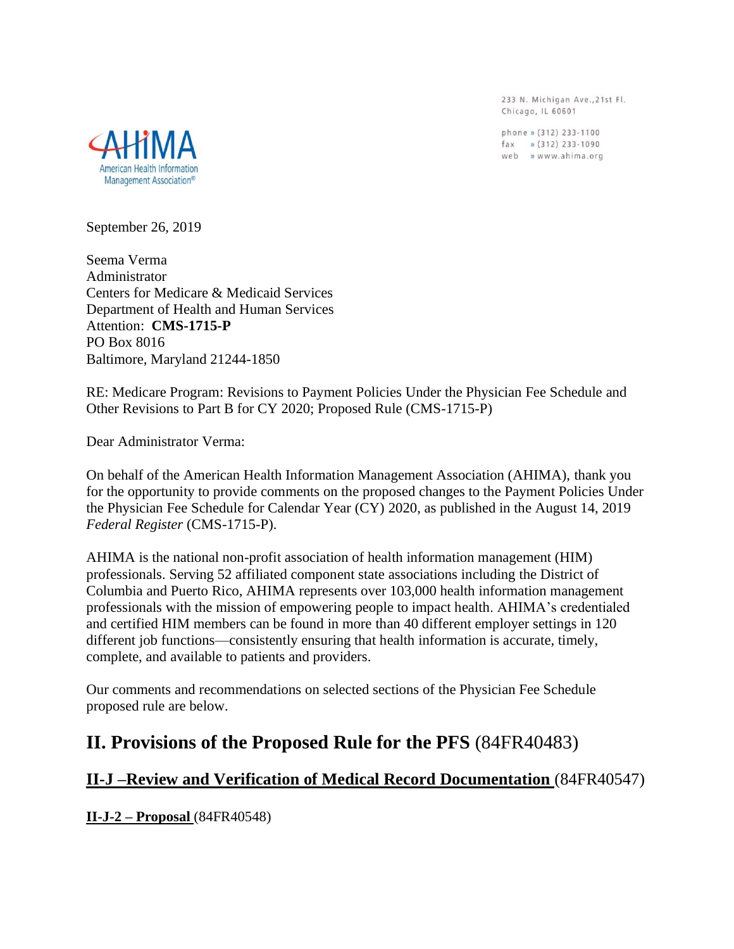233 N. Michigan Ave., 21st Fl. Chicago, IL 60601

phone » (312) 233-1100  $\frac{1}{2}$  (312) 233-1090 web » www.ahima.org



September 26, 2019

Seema Verma Administrator Centers for Medicare & Medicaid Services Department of Health and Human Services Attention: **CMS-1715-P** PO Box 8016 Baltimore, Maryland 21244-1850

RE: Medicare Program: Revisions to Payment Policies Under the Physician Fee Schedule and Other Revisions to Part B for CY 2020; Proposed Rule (CMS-1715-P)

Dear Administrator Verma:

On behalf of the American Health Information Management Association (AHIMA), thank you for the opportunity to provide comments on the proposed changes to the Payment Policies Under the Physician Fee Schedule for Calendar Year (CY) 2020, as published in the August 14, 2019 *Federal Register* (CMS-1715-P).

AHIMA is the national non-profit association of health information management (HIM) professionals. Serving 52 affiliated component state associations including the District of Columbia and Puerto Rico, AHIMA represents over 103,000 health information management professionals with the mission of empowering people to impact health. AHIMA's credentialed and certified HIM members can be found in more than 40 different employer settings in 120 different job functions—consistently ensuring that health information is accurate, timely, complete, and available to patients and providers.

Our comments and recommendations on selected sections of the Physician Fee Schedule proposed rule are below.

# **II. Provisions of the Proposed Rule for the PFS** (84FR40483)

## **II-J –Review and Verification of Medical Record Documentation** (84FR40547)

**II-J-2 – Proposal** (84FR40548)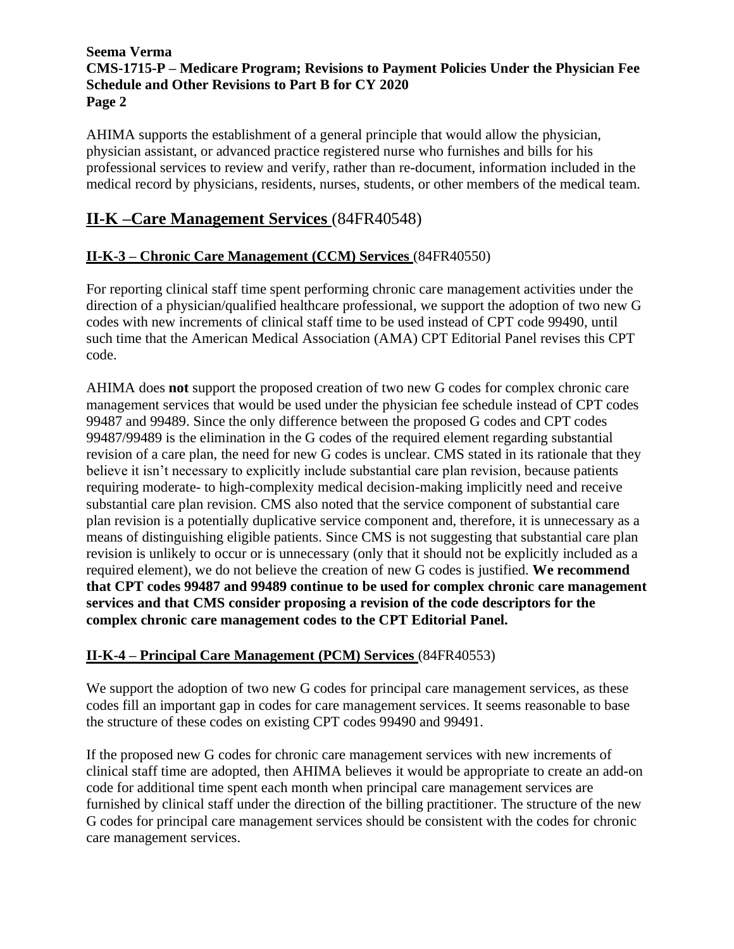AHIMA supports the establishment of a general principle that would allow the physician, physician assistant, or advanced practice registered nurse who furnishes and bills for his professional services to review and verify, rather than re-document, information included in the medical record by physicians, residents, nurses, students, or other members of the medical team.

# **II-K –Care Management Services** (84FR40548)

## **II-K-3 – Chronic Care Management (CCM) Services** (84FR40550)

For reporting clinical staff time spent performing chronic care management activities under the direction of a physician/qualified healthcare professional, we support the adoption of two new G codes with new increments of clinical staff time to be used instead of CPT code 99490, until such time that the American Medical Association (AMA) CPT Editorial Panel revises this CPT code.

AHIMA does **not** support the proposed creation of two new G codes for complex chronic care management services that would be used under the physician fee schedule instead of CPT codes 99487 and 99489. Since the only difference between the proposed G codes and CPT codes 99487/99489 is the elimination in the G codes of the required element regarding substantial revision of a care plan, the need for new G codes is unclear. CMS stated in its rationale that they believe it isn't necessary to explicitly include substantial care plan revision, because patients requiring moderate- to high-complexity medical decision-making implicitly need and receive substantial care plan revision. CMS also noted that the service component of substantial care plan revision is a potentially duplicative service component and, therefore, it is unnecessary as a means of distinguishing eligible patients. Since CMS is not suggesting that substantial care plan revision is unlikely to occur or is unnecessary (only that it should not be explicitly included as a required element), we do not believe the creation of new G codes is justified. **We recommend that CPT codes 99487 and 99489 continue to be used for complex chronic care management services and that CMS consider proposing a revision of the code descriptors for the complex chronic care management codes to the CPT Editorial Panel.**

## **II-K-4 – Principal Care Management (PCM) Services** (84FR40553)

We support the adoption of two new G codes for principal care management services, as these codes fill an important gap in codes for care management services. It seems reasonable to base the structure of these codes on existing CPT codes 99490 and 99491.

If the proposed new G codes for chronic care management services with new increments of clinical staff time are adopted, then AHIMA believes it would be appropriate to create an add-on code for additional time spent each month when principal care management services are furnished by clinical staff under the direction of the billing practitioner. The structure of the new G codes for principal care management services should be consistent with the codes for chronic care management services.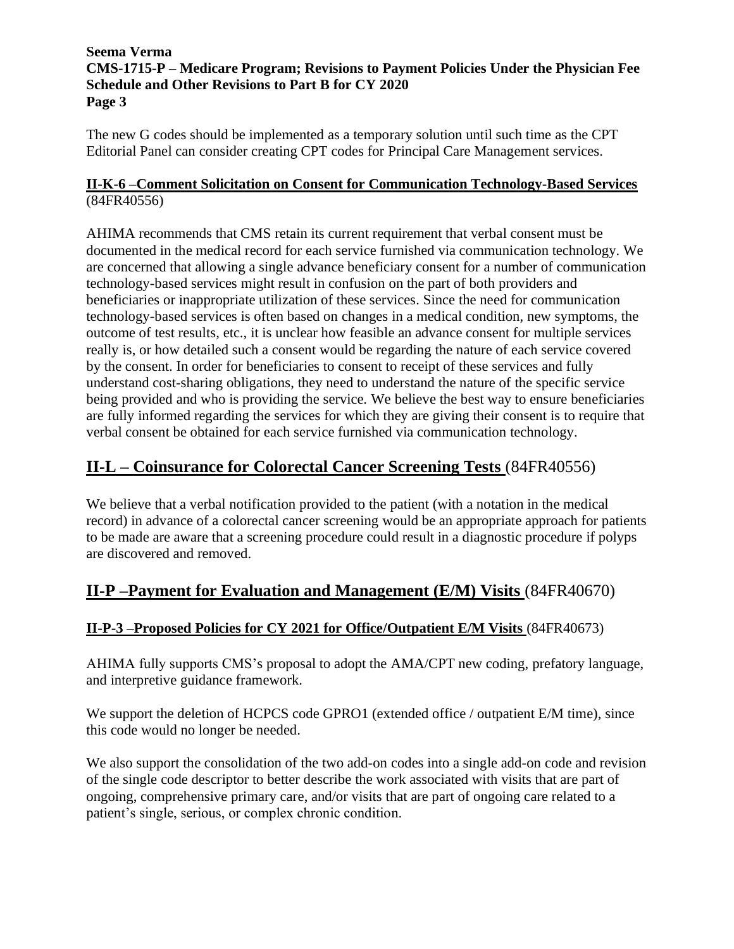The new G codes should be implemented as a temporary solution until such time as the CPT Editorial Panel can consider creating CPT codes for Principal Care Management services.

## **II-K-6 –Comment Solicitation on Consent for Communication Technology-Based Services** (84FR40556)

AHIMA recommends that CMS retain its current requirement that verbal consent must be documented in the medical record for each service furnished via communication technology. We are concerned that allowing a single advance beneficiary consent for a number of communication technology-based services might result in confusion on the part of both providers and beneficiaries or inappropriate utilization of these services. Since the need for communication technology-based services is often based on changes in a medical condition, new symptoms, the outcome of test results, etc., it is unclear how feasible an advance consent for multiple services really is, or how detailed such a consent would be regarding the nature of each service covered by the consent. In order for beneficiaries to consent to receipt of these services and fully understand cost-sharing obligations, they need to understand the nature of the specific service being provided and who is providing the service. We believe the best way to ensure beneficiaries are fully informed regarding the services for which they are giving their consent is to require that verbal consent be obtained for each service furnished via communication technology.

# **II-L – Coinsurance for Colorectal Cancer Screening Tests** (84FR40556)

We believe that a verbal notification provided to the patient (with a notation in the medical record) in advance of a colorectal cancer screening would be an appropriate approach for patients to be made are aware that a screening procedure could result in a diagnostic procedure if polyps are discovered and removed.

# **II-P –Payment for Evaluation and Management (E/M) Visits** (84FR40670)

## **II-P-3 –Proposed Policies for CY 2021 for Office/Outpatient E/M Visits** (84FR40673)

AHIMA fully supports CMS's proposal to adopt the AMA/CPT new coding, prefatory language, and interpretive guidance framework.

We support the deletion of HCPCS code GPRO1 (extended office / outpatient E/M time), since this code would no longer be needed.

We also support the consolidation of the two add-on codes into a single add-on code and revision of the single code descriptor to better describe the work associated with visits that are part of ongoing, comprehensive primary care, and/or visits that are part of ongoing care related to a patient's single, serious, or complex chronic condition.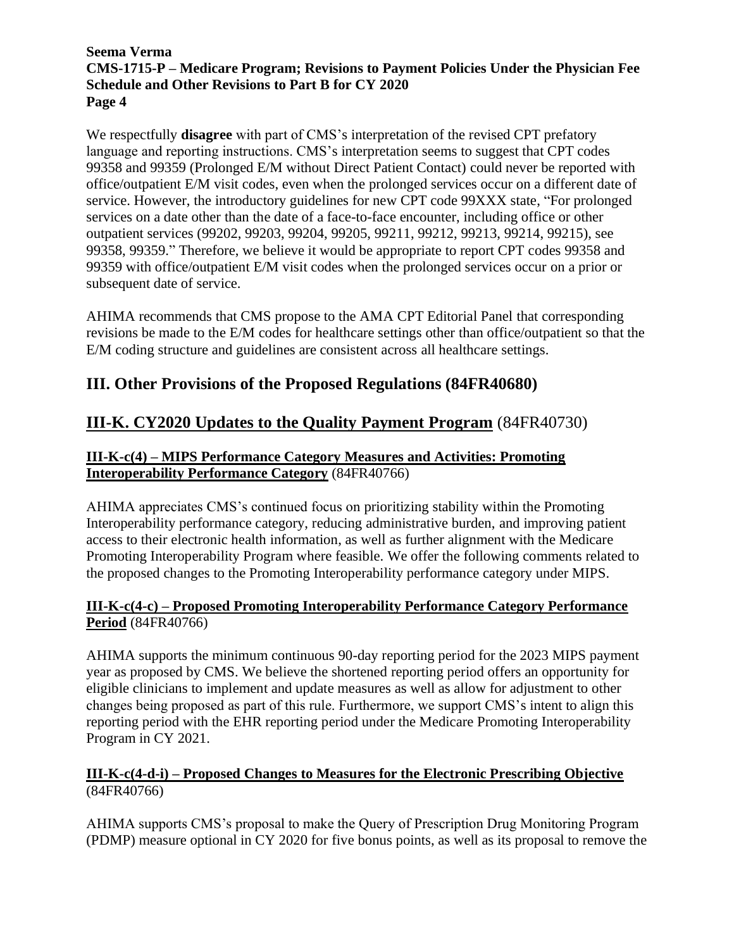We respectfully **disagree** with part of CMS's interpretation of the revised CPT prefatory language and reporting instructions. CMS's interpretation seems to suggest that CPT codes 99358 and 99359 (Prolonged E/M without Direct Patient Contact) could never be reported with office/outpatient E/M visit codes, even when the prolonged services occur on a different date of service. However, the introductory guidelines for new CPT code 99XXX state, "For prolonged services on a date other than the date of a face-to-face encounter, including office or other outpatient services (99202, 99203, 99204, 99205, 99211, 99212, 99213, 99214, 99215), see 99358, 99359." Therefore, we believe it would be appropriate to report CPT codes 99358 and 99359 with office/outpatient E/M visit codes when the prolonged services occur on a prior or subsequent date of service.

AHIMA recommends that CMS propose to the AMA CPT Editorial Panel that corresponding revisions be made to the E/M codes for healthcare settings other than office/outpatient so that the E/M coding structure and guidelines are consistent across all healthcare settings.

# **III. Other Provisions of the Proposed Regulations (84FR40680)**

# **III-K. CY2020 Updates to the Quality Payment Program** (84FR40730)

## **III-K-c(4) – MIPS Performance Category Measures and Activities: Promoting Interoperability Performance Category** (84FR40766)

AHIMA appreciates CMS's continued focus on prioritizing stability within the Promoting Interoperability performance category, reducing administrative burden, and improving patient access to their electronic health information, as well as further alignment with the Medicare Promoting Interoperability Program where feasible. We offer the following comments related to the proposed changes to the Promoting Interoperability performance category under MIPS.

### **III-K-c(4-c) – Proposed Promoting Interoperability Performance Category Performance Period** (84FR40766)

AHIMA supports the minimum continuous 90-day reporting period for the 2023 MIPS payment year as proposed by CMS. We believe the shortened reporting period offers an opportunity for eligible clinicians to implement and update measures as well as allow for adjustment to other changes being proposed as part of this rule. Furthermore, we support CMS's intent to align this reporting period with the EHR reporting period under the Medicare Promoting Interoperability Program in CY 2021.

## **III-K-c(4-d-i) – Proposed Changes to Measures for the Electronic Prescribing Objective** (84FR40766)

AHIMA supports CMS's proposal to make the Query of Prescription Drug Monitoring Program (PDMP) measure optional in CY 2020 for five bonus points, as well as its proposal to remove the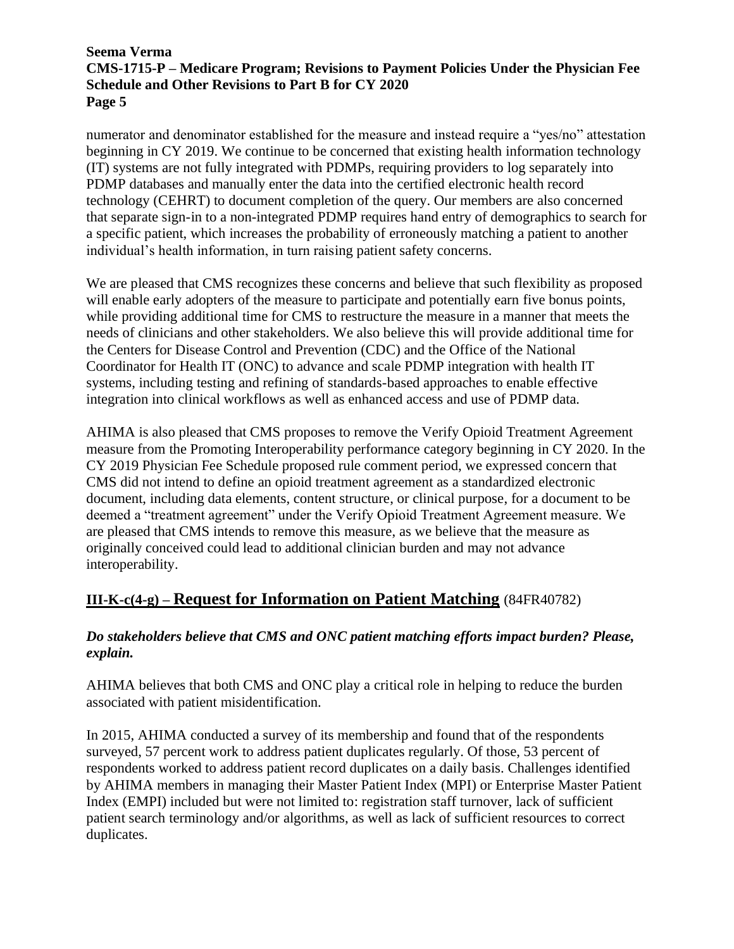numerator and denominator established for the measure and instead require a "yes/no" attestation beginning in CY 2019. We continue to be concerned that existing health information technology (IT) systems are not fully integrated with PDMPs, requiring providers to log separately into PDMP databases and manually enter the data into the certified electronic health record technology (CEHRT) to document completion of the query. Our members are also concerned that separate sign-in to a non-integrated PDMP requires hand entry of demographics to search for a specific patient, which increases the probability of erroneously matching a patient to another individual's health information, in turn raising patient safety concerns.

We are pleased that CMS recognizes these concerns and believe that such flexibility as proposed will enable early adopters of the measure to participate and potentially earn five bonus points, while providing additional time for CMS to restructure the measure in a manner that meets the needs of clinicians and other stakeholders. We also believe this will provide additional time for the Centers for Disease Control and Prevention (CDC) and the Office of the National Coordinator for Health IT (ONC) to advance and scale PDMP integration with health IT systems, including testing and refining of standards-based approaches to enable effective integration into clinical workflows as well as enhanced access and use of PDMP data.

AHIMA is also pleased that CMS proposes to remove the Verify Opioid Treatment Agreement measure from the Promoting Interoperability performance category beginning in CY 2020. In the CY 2019 Physician Fee Schedule proposed rule comment period, we expressed concern that CMS did not intend to define an opioid treatment agreement as a standardized electronic document, including data elements, content structure, or clinical purpose, for a document to be deemed a "treatment agreement" under the Verify Opioid Treatment Agreement measure. We are pleased that CMS intends to remove this measure, as we believe that the measure as originally conceived could lead to additional clinician burden and may not advance interoperability.

## **III-K-c(4-g) – Request for Information on Patient Matching** (84FR40782)

## *Do stakeholders believe that CMS and ONC patient matching efforts impact burden? Please, explain.*

AHIMA believes that both CMS and ONC play a critical role in helping to reduce the burden associated with patient misidentification.

In 2015, AHIMA conducted a survey of its membership and found that of the respondents surveyed, 57 percent work to address patient duplicates regularly. Of those, 53 percent of respondents worked to address patient record duplicates on a daily basis. Challenges identified by AHIMA members in managing their Master Patient Index (MPI) or Enterprise Master Patient Index (EMPI) included but were not limited to: registration staff turnover, lack of sufficient patient search terminology and/or algorithms, as well as lack of sufficient resources to correct duplicates.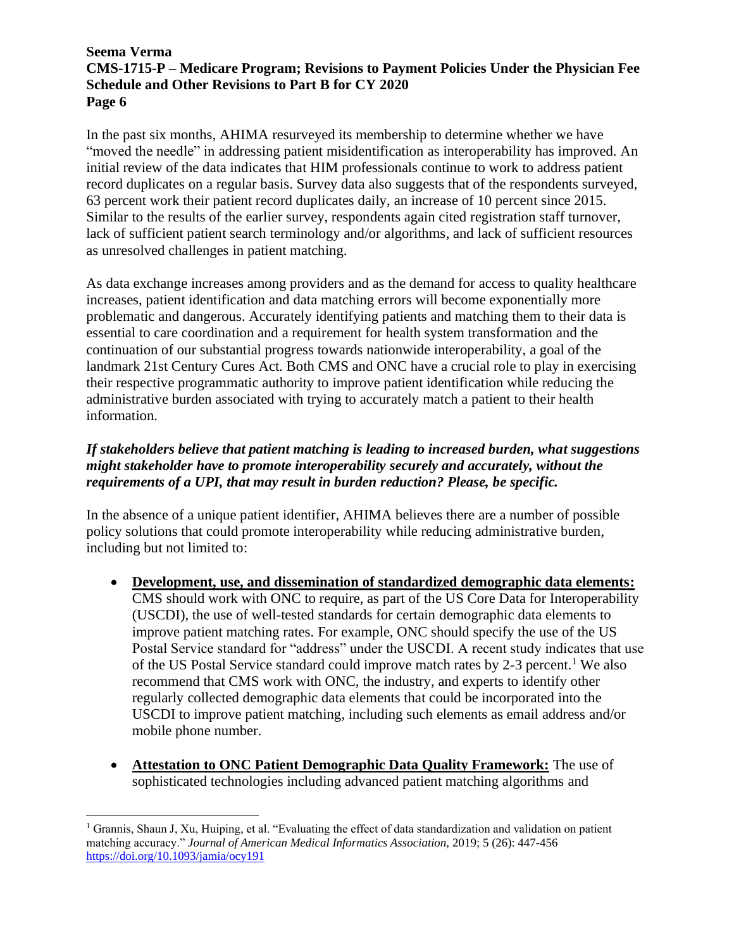In the past six months, AHIMA resurveyed its membership to determine whether we have "moved the needle" in addressing patient misidentification as interoperability has improved. An initial review of the data indicates that HIM professionals continue to work to address patient record duplicates on a regular basis. Survey data also suggests that of the respondents surveyed, 63 percent work their patient record duplicates daily, an increase of 10 percent since 2015. Similar to the results of the earlier survey, respondents again cited registration staff turnover, lack of sufficient patient search terminology and/or algorithms, and lack of sufficient resources as unresolved challenges in patient matching.

As data exchange increases among providers and as the demand for access to quality healthcare increases, patient identification and data matching errors will become exponentially more problematic and dangerous. Accurately identifying patients and matching them to their data is essential to care coordination and a requirement for health system transformation and the continuation of our substantial progress towards nationwide interoperability, a goal of the landmark 21st Century Cures Act. Both CMS and ONC have a crucial role to play in exercising their respective programmatic authority to improve patient identification while reducing the administrative burden associated with trying to accurately match a patient to their health information.

## *If stakeholders believe that patient matching is leading to increased burden, what suggestions might stakeholder have to promote interoperability securely and accurately, without the requirements of a UPI, that may result in burden reduction? Please, be specific.*

In the absence of a unique patient identifier, AHIMA believes there are a number of possible policy solutions that could promote interoperability while reducing administrative burden, including but not limited to:

- **Development, use, and dissemination of standardized demographic data elements:** CMS should work with ONC to require, as part of the US Core Data for Interoperability (USCDI), the use of well-tested standards for certain demographic data elements to improve patient matching rates. For example, ONC should specify the use of the US Postal Service standard for "address" under the USCDI. A recent study indicates that use of the US Postal Service standard could improve match rates by  $2-3$  percent.<sup>1</sup> We also recommend that CMS work with ONC, the industry, and experts to identify other regularly collected demographic data elements that could be incorporated into the USCDI to improve patient matching, including such elements as email address and/or mobile phone number.
- **Attestation to ONC Patient Demographic Data Quality Framework:** The use of sophisticated technologies including advanced patient matching algorithms and

<sup>1</sup> Grannis, Shaun J, Xu, Huiping, et al. "Evaluating the effect of data standardization and validation on patient matching accuracy." *Journal of American Medical Informatics Association,* 2019; 5 (26): 447-456 <https://doi.org/10.1093/jamia/ocy191>